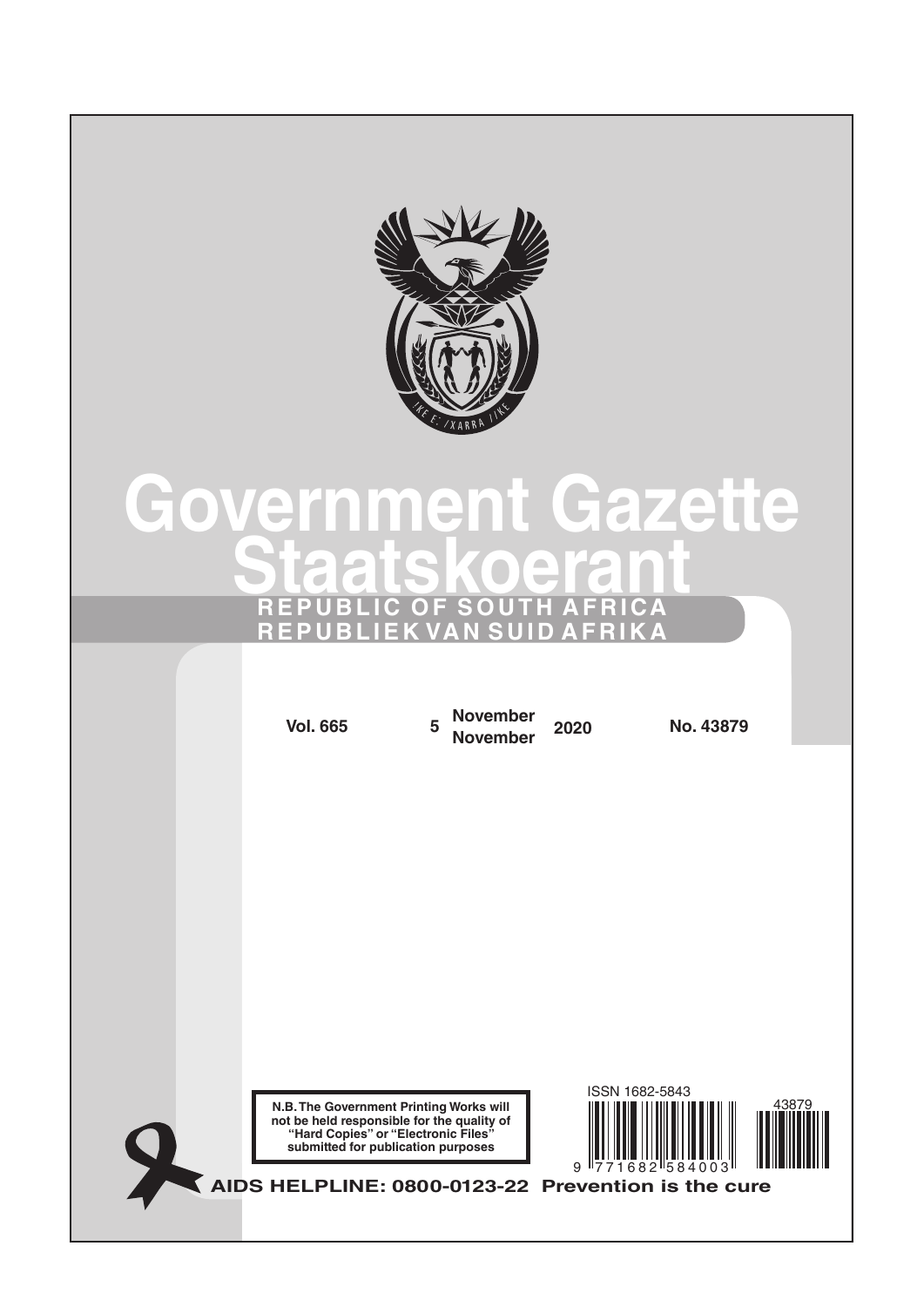

# **Government Gazette Staatskoerant REPUBLIC OF SOUTH AFRICA REPUBLIEK VAN SUID AFRIKA**

**N.B. The Government Printing Works will not be held responsible for the quality of "Hard Copies" or "Electronic Files" submitted for publication purposes AIDS HELPLINE: 0800-0123-22 Prevention is the cure Vol. 665 <sup>5</sup> November November <sup>2020</sup> No. 43879** 9 771682 584003 ISSN 1682-5843 43879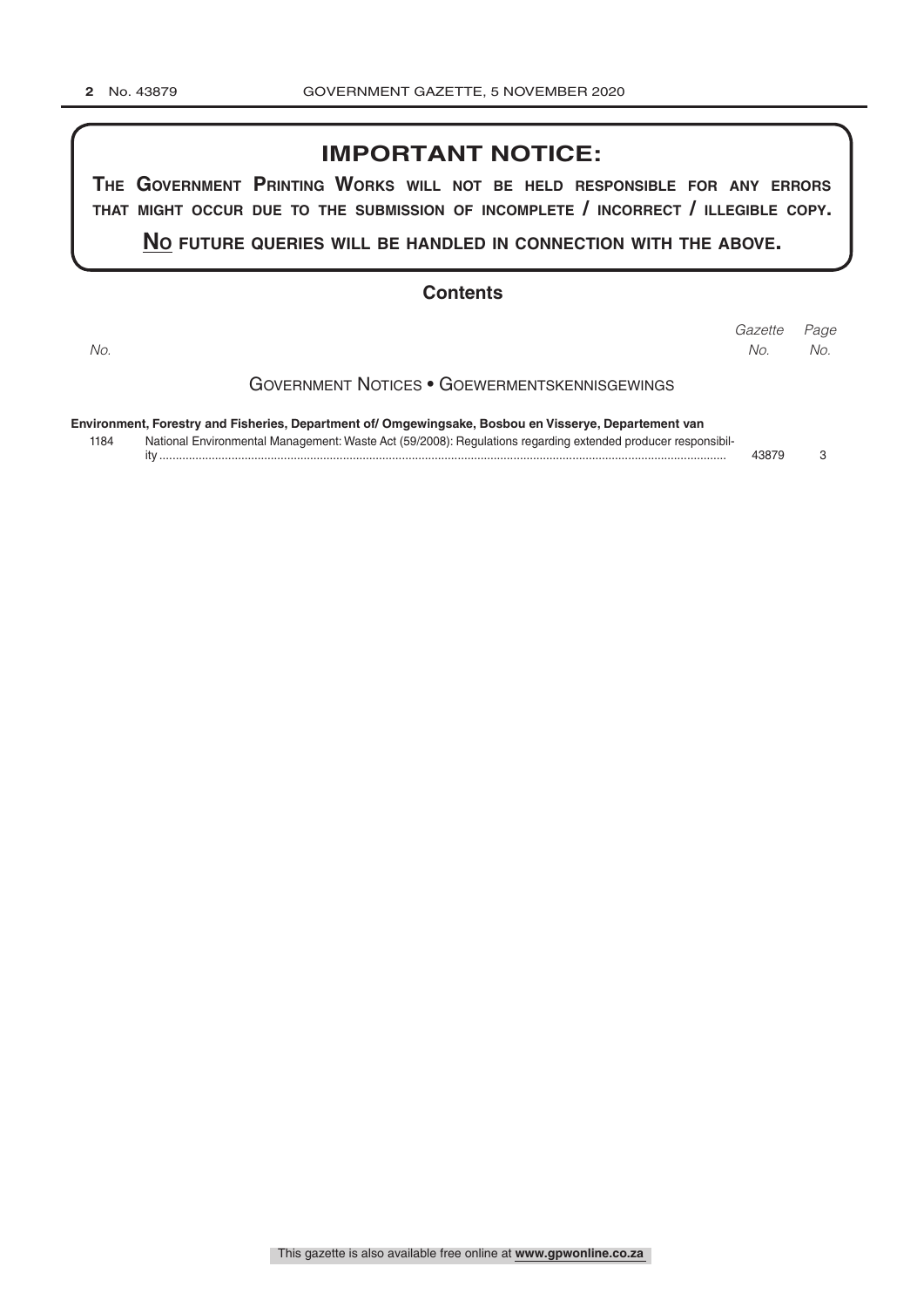# **IMPORTANT NOTICE:**

**The GovernmenT PrinTinG Works Will noT be held resPonsible for any errors ThaT miGhT occur due To The submission of incomPleTe / incorrecT / illeGible coPy.**

**no fuTure queries Will be handled in connecTion WiTh The above.**

#### **Contents**

Government Notices • Goewermentskennisgewings **Environment, Forestry and Fisheries, Department of/ Omgewingsake, Bosbou en Visserye, Departement van** 1184 National Environmental Management: Waste Act (59/2008): Regulations regarding extended producer responsibility ............................................................................................................................................................................. 43879 3 *Page Gazette No. No. No.*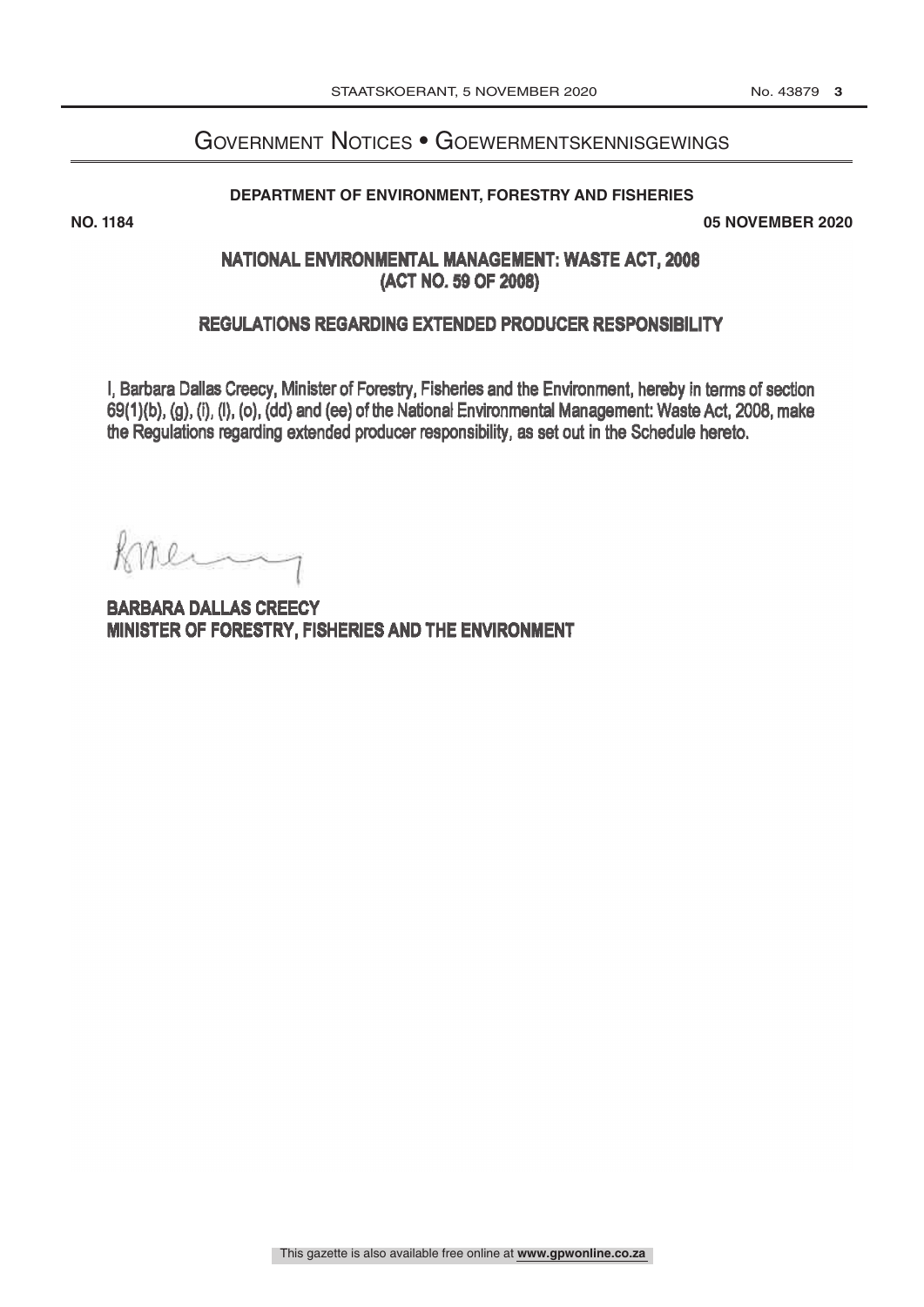# Government Notices • Goewermentskennisgewings

#### **DEPARTMENT OF ENVIRONMENT, FORESTRY AND FISHERIES**

**NO. 1184 05 NOVEMBER 2020**

# NATIONAL ENVIRONMENTAL MANAGEMENT: WASTE ACT, 2008 (ACT NO.59 OF 2008)

#### REGULATIONS REGARDING EXTENDED PRODUCER RESPONSIBILITY

I, Barbara Dallas Creecy, Minister of Forestry, Fisheries and the Environment, hereby in terms of section 69(1)(b), (g), (I), (I), (o), (dd) and (ee) of the National Environmental Management: Waste Act, 2008, make the Regulations regarding extended producer responsibility, as set out in the Schedule hereto.

meny K.

**BARBARA DALLAS CREECY** MINISTER OF FORESTRY, FISHERIES AND THE ENVIRONMENT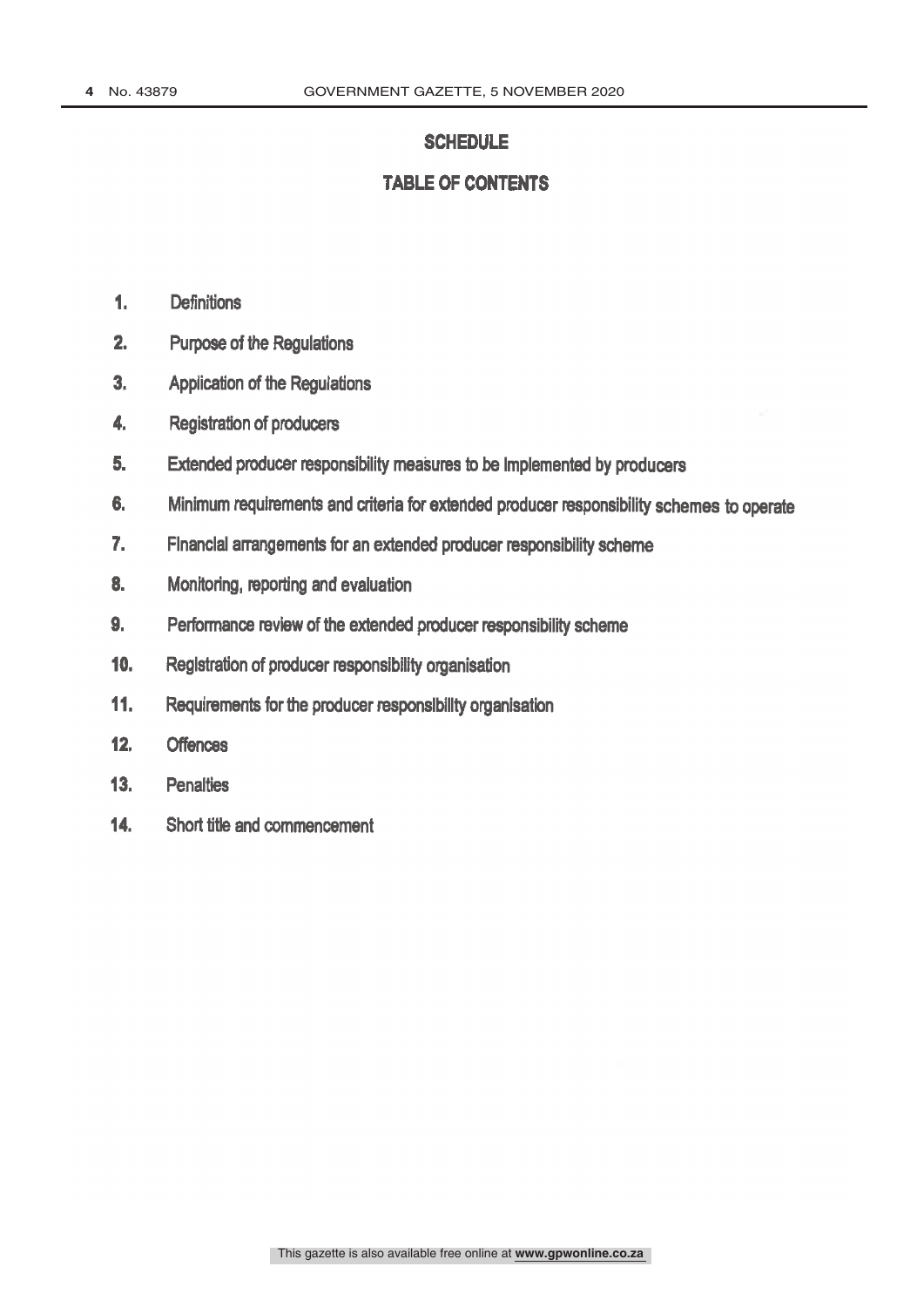#### **SCHEDULE**

# **TABLE OF CONTENTS**

- 1. Definitions
- 2. Purpose of the Regulations
- 3. Application of the Regulations
- 4. Registration of producers
- 5. Extended producer responsibility measures to be implemented by producers
- 6. Minimum requirements and criteria for extended producer responsibility schemes to operate
- 7. Financial arrangements for an extended producer responsibility scheme
- 8. Monitoring, reporting and evaluation
- 9. Performance review of the extended producer responsibility scheme
- 10. Registration of producer responsibility organisation
- 11. Requirements for the producer responsibility organisation
- 12. Offences
- 13. Penalties
- 14. Short title and commencement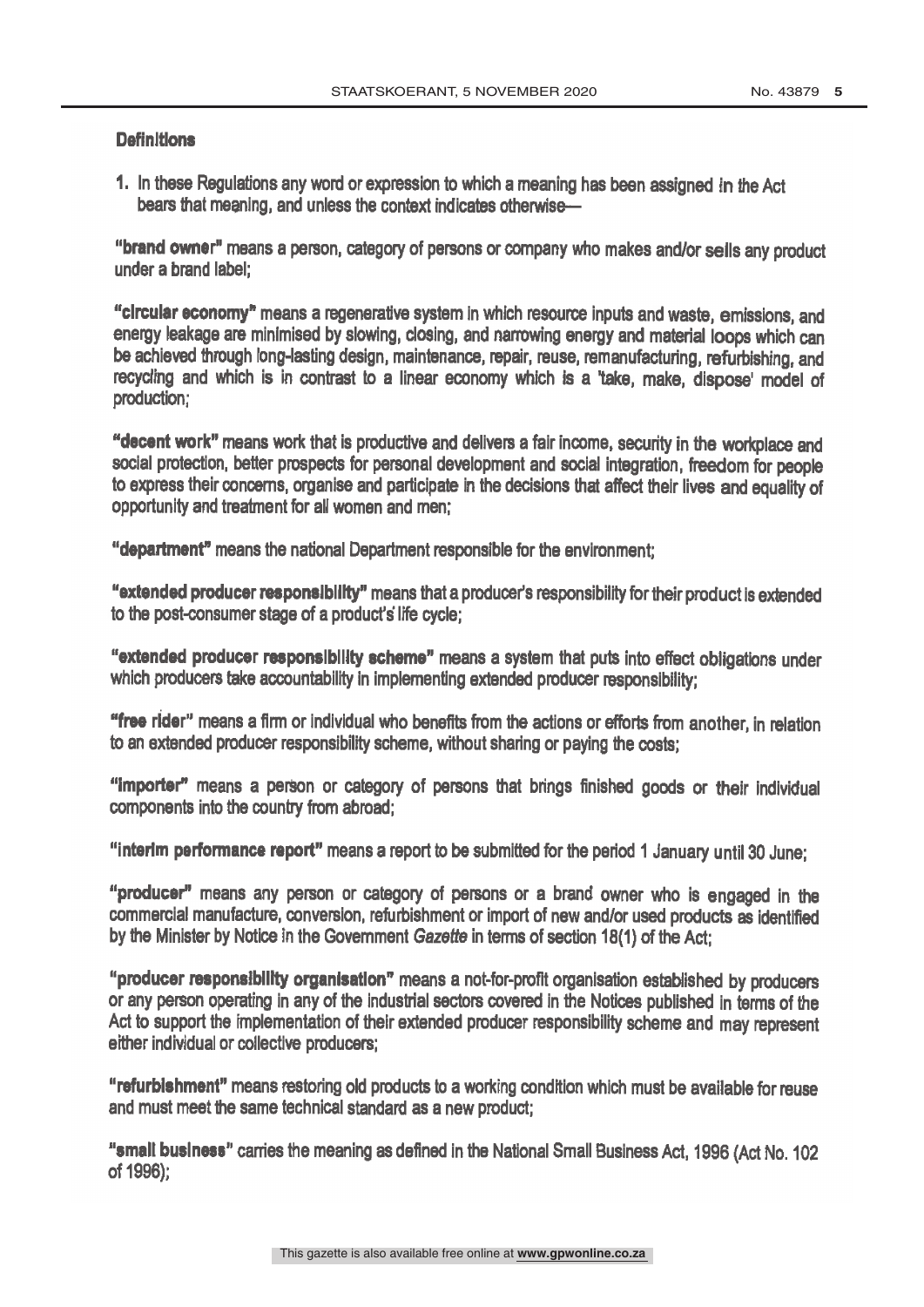#### **Definitions**

1. In these Regulations any word or expression to which a meaning has been assigned in the Act bears that meaning, and unless the context indicates otherwise-

"brand owner" means a person, category of persons or company who makes and/or sells any product under a brand label;

"circular economy" means a regenerative system in which resource inputs and waste, emissions, and energy leakage are minimised by slowing, closing, and narrowing energy and material loops which can be achieved through long-lasting design, maintenance, repair, reuse, remanufacturing, refurbishing, and recycling and which is in contrast to a linear economy which is a 'take, make, dispose' model of production;

"decent work" means work that is productive and delivers a fair income, security in the workplace and social protection, better prospects for personal development and social integration, freedom for people to express their concerns, organise and participate in the decisions that affect their lives and equality of opportunity and treatment for all women and men;

"department" means the national Department responsible for the environment;

"extended producer responsibility" means that a producer's responsibility for their product is extended to the post-consumer stage of a product's life cycle;

"extended producer responsibility scheme" means a system that puts into effect obligations under which producers take accountability in implementing extended producer responsibility;

"free rider" means a firm or individual who benefits from the actions or efforts from another, in relation to an extended producer responsibility scheme, without sharing or paying the costs;

"Importer" means a person or category of persons that brings finished goods or their individual components into the country from abroad;

"interim performance report" means a report to be submitted for the period 1 January until 30 June;

"producer" means any person or category of persons or a brand owner who is engaged in the commercial manufacture, conversion, refurbishment or import of new and /or used products as identified by the Minister by Notice in the Government Gazette in terms of section 18(1) of the Act;

"producer responsibility organisation" means a not-for-profit organisation established by producers or any person operating in any of the industrial sectors covered in the Notices published in terms of the Act to support the implementation of their extended producer responsibility scheme and may represent either individual or collective producers;

"refurbishment" means restoring old products to a working condition which must be available for reuse and must meet the same technical standard as a new product;

"small business" cames the meaning as defined in the National Small Business Act, 1996 (Act No. 102 of 1996);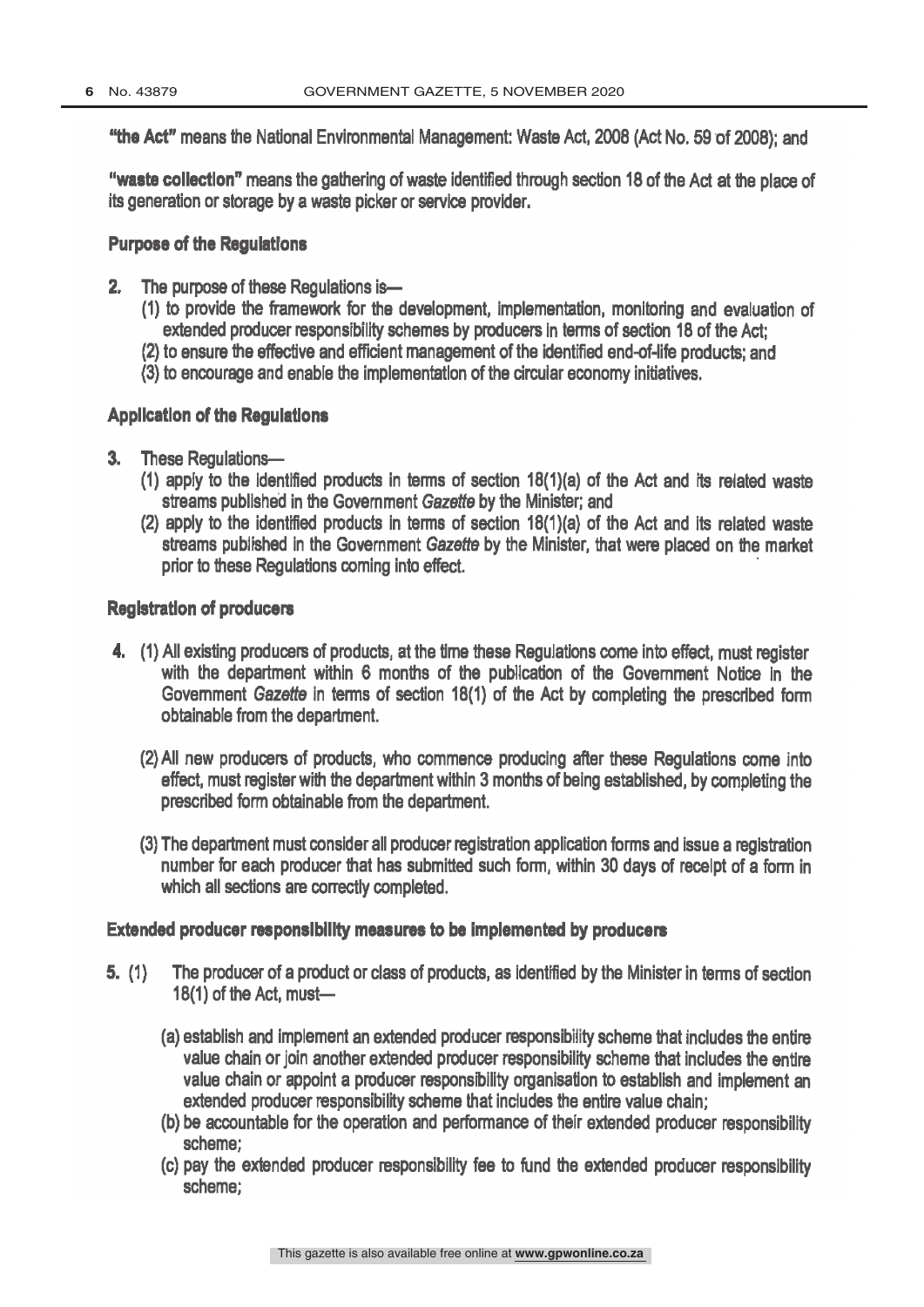"the Act" means the National Environmental Management: Waste Act, 2008 (Act No. 59 of 2008); and

"waste collection" means the gathering of waste identified through section 18 of the Act at the place of its generation or storage by a waste picker or service provider.

#### Purpose of the Regulations

- 2. The purpose of these Regulations is-
	- (1) to provide the framework for the development, implementation, monitoring and evaluation of extended producer responsibility schemes by producers in terms of section 18 of the Act;
	- (2) to ensure the effective and efficient management of the identified end-of-life products; and
	- (3) to encourage and enable the implementation of the circular economy initiatives.

# Application of the Regulations

- 3. These Regulations-
	- (1) apply to the identified products in terms of section 18(1)(a) of the Act and its related waste streams published in the Government Gazette by the Minister; and
	- (2) apply to the identified products in terms of section 18(1)(a) of the Act and its related waste streams published in the Government Gazette by the Minister, that were placed on the market prior to these Regulations coming into effect.

# Registration of producers

- (1) All existing producers of products, at the time these Regulations come into effect, must register with the department within 6 months of the publication of the Government Notice in the Government Gazette in terms of section 18(1) of the Act by completing the prescribed form obtainable from the department.
	- (2) All new producers of products, who commence producing after these Regulations come into effect, must register with the department within 3 months of being established, by completing the prescribed form obtainable from the department.
	- (3) The department must consider all producer registration application forms and issue a registration number for each producer that has submitted such form, within 30 days of receipt of a form in which all sections are correctly completed.

#### Extended producer responsibility measures to be implemented by producers

- 5. (1) The producer of a product or class of products, as identified by the Minister in terms of section  $18(1)$  of the Act, must-
	- (a) establish and implement an extended producer responsibility scheme that includes the entire value chain or join another extended producer responsibility scheme that includes the entire value chain or appoint a producer responsibility organisation to establish and implement an extended producer responsibility scheme that includes the entire value chain;
	- (b) be accountable for the operation and performance of their extended producer responsibility scheme;
	- (c) pay the extended producer responsibility fee to fund the extended producer responsibility scheme;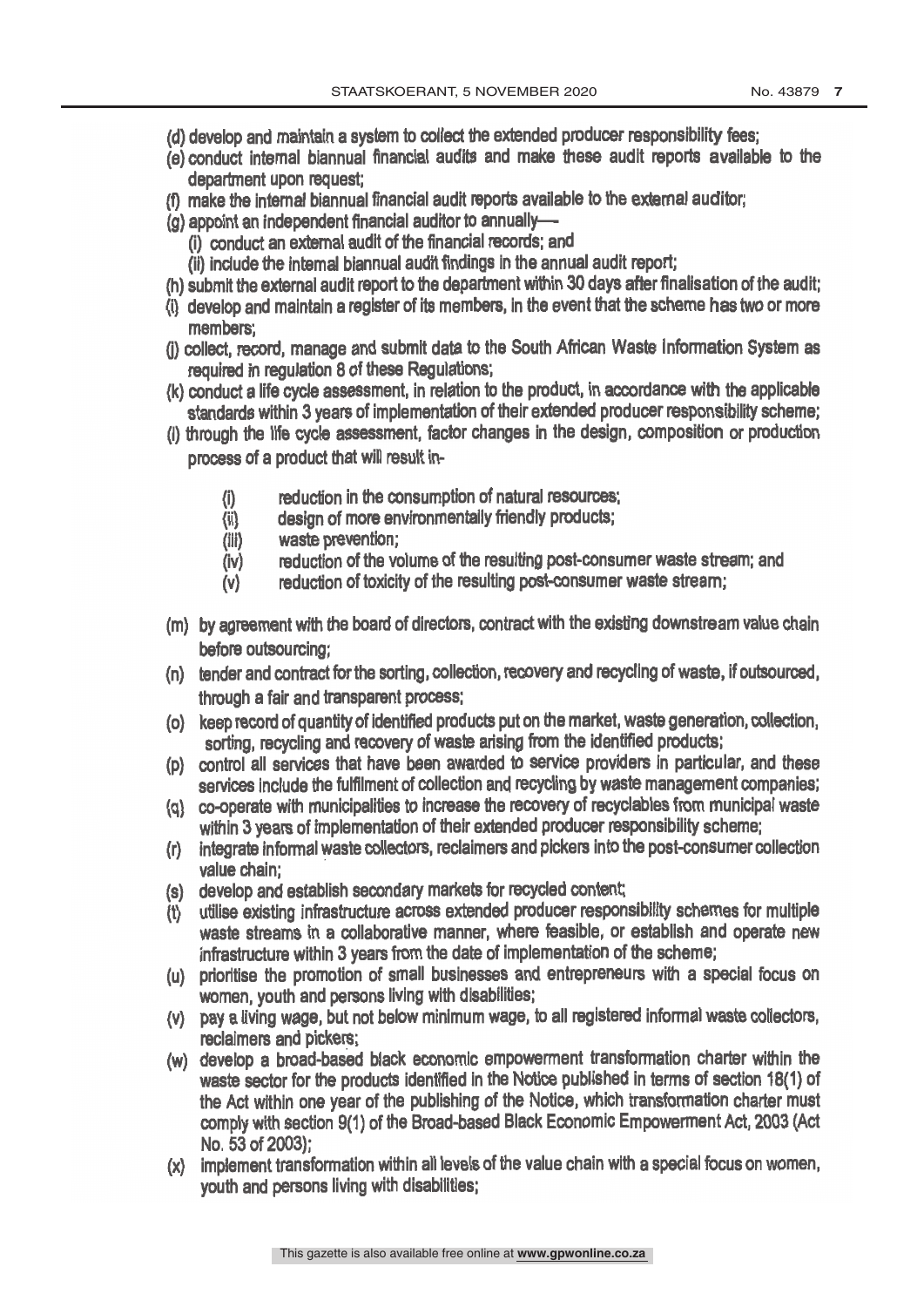- (d) develop and maintain a system to collect the extended producer responsibility fees;
- (e) conduct internal biannual financial audits and make these audit reports available to the department upon request;
- (f) make the internal biannual financial audit reports available to the external auditor; department upon request.<br>
(f) make the internal biannual financial audit reports available to the external auditor;<br>
(g) appoint an independent financial auditor to annually-
- - (I) conduct an external audit of the financial records; and
	- (ii) include the internal biannual audit findings in the annual audit report;
- (h) submit the external audit report to the department within 30 days after finalisation of the audit;
- (i) develop and maintain a register of its members, in the event that the scheme has two or more members;
- (j) collect, record, manage and submit data to the South African Waste information System as required in regulation 8 of these Regulations;
- (k) conduct a life cycle assessment, in relation to the product, in accordance with the applicable standards within 3 years of implementation of their extended producer responsibility scheme;
- (I) through the life cycle assessment, factor changes in the design, composition or production process of a product that will result in-
	- (I) reduction in the consumption of natural resources;
	- (ii) design of more environmentally friendly products;
	- (iii) waste prevention;
	- (iv) reduction of the volume of the resulting post- consumer waste stream; and
	- $(v)$  reduction of toxicity of the resulting post-consumer waste stream;
- (m) by agreement with the board of directors, contract with the existing downstream value chain before outsourcing;
- (n) tender and contract for the sorting, collection, recovery and recycling of waste, if outsourced, through a fair and transparent process;
- (o) keep record of quantity of identified products put on the market, waste generation, collection, sorting, recycling and recovery of waste arising from the identified products;
- (p) control all services that have been awarded to service providers In particular, and these services include the fulfilment of collection and recycling by waste management companies;
- (q) co- operate with municipalities to increase the recovery of recyclables from municipal waste within 3 years of implementation of their extended producer responsibility scheme;
- (r) integrate informal waste collectors, reclaimers and pickers into the post -consumer collection value chain;
- (s) develop and establish secondary markets for recycled content;
- (t) utilise existing infrastructure across extended producer responsibility schemes for multiple waste streams in a collaborative manner, where feasible, or establish and operate new infrastructure within 3 years from the date of implementation of the scheme;
- (u) prioritise the promotion of small businesses and entrepreneurs with a special focus on women, youth and persons living with disabilities;
- (v) pay a living wage, but not below minimum wage, to all registered informal waste collectors, reclaimers and pickers;
- (w) develop a broad -based black economic empowerment transformation charter within the waste sector for the products identified in the Notice published in terms of section 18(1) of the Act within one year of the publishing of the Notice, which transformation charter must comply with section 9(1) of the Broad -based Black Economic Empowerment Act, 2003 (Act No. 53 of 2003);
- (x) implement transformation within all levels of the value chain with a special focus on women, youth and persons living with disabilities;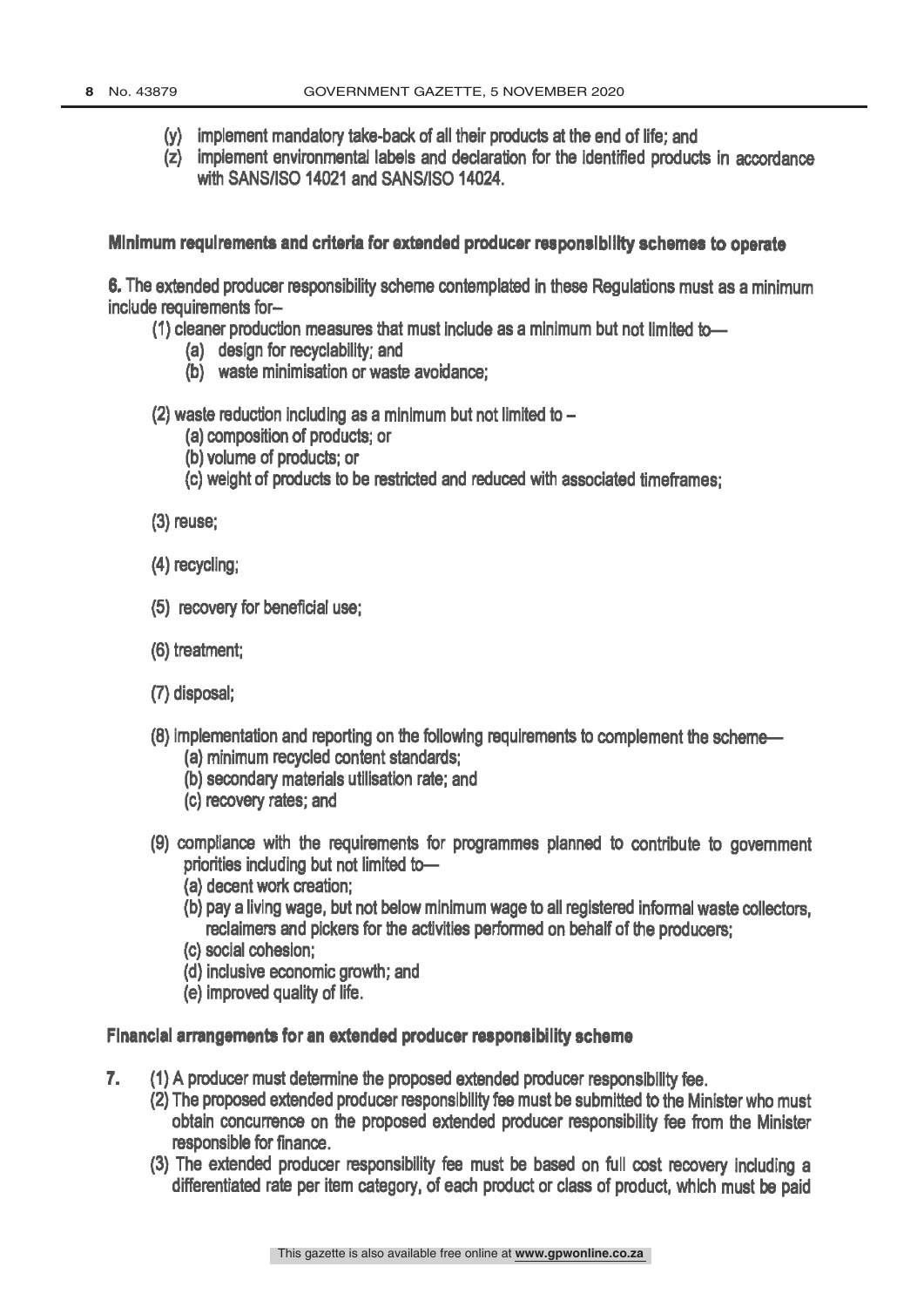- (y) implement mandatory take -back of all their products at the end of life; and
- (z) implement environmental labels and declaration for the identified products in accordance with SANS/ISO 14021 and SANS/ISO 14024.

#### Minimum requirements and criteria for extended producer responsibility schemes to operate

6. The extended producer responsibility scheme contemplated in these Regulations must as a minimum include requirements for

(1) cleaner production measures that must include as a minimum but not limited to-

- (a) design for recyclability; and
- (b) waste minimisation or waste avoidance;
- (2) waste reduction including as a minimum but not limited to
	- (a) composition of products; or
	- (b) volume of products; or
	- (c) weight of products to be restricted and reduced with associated timeframes;
- (3) reuse;
- (4) recycling;
- (5) recovery for beneficial use;
- (6) treatment;
- (7) disposal;
- (8) implementation and reporting on the following requirements to complement the scheme-(a) minimum recycled content standards;
	- (b) secondary materials utilisation rate; and
	- (c) recovery rates; and
- (9) compliance with the requirements for programmes planned to contribute to government priorities including but not limited to-
	- (a) decent work creation;
	- (b) pay a living wage, but not below minimum wage to all registered informal waste collectors, reclaimers and pickers for the activities performed on behalf of the producers;
	- (c) social cohesion;
	- (d) inclusive economic growth; and
	- (e) improved quality of life.

# Financial arrangements for an extended producer responsibility scheme

- 7. (1) A producer must determine the proposed extended producer responsibility fee.
	- (2) The proposed extended producer responsibility fee must be submitted to the Minister who must obtain concurrence on the proposed extended producer responsibility fee from the Minister responsible for finance.
	- (3) The extended producer responsibility fee must be based on full cost recovery including a differentiated rate per item category, of each product or class of product, which must be paid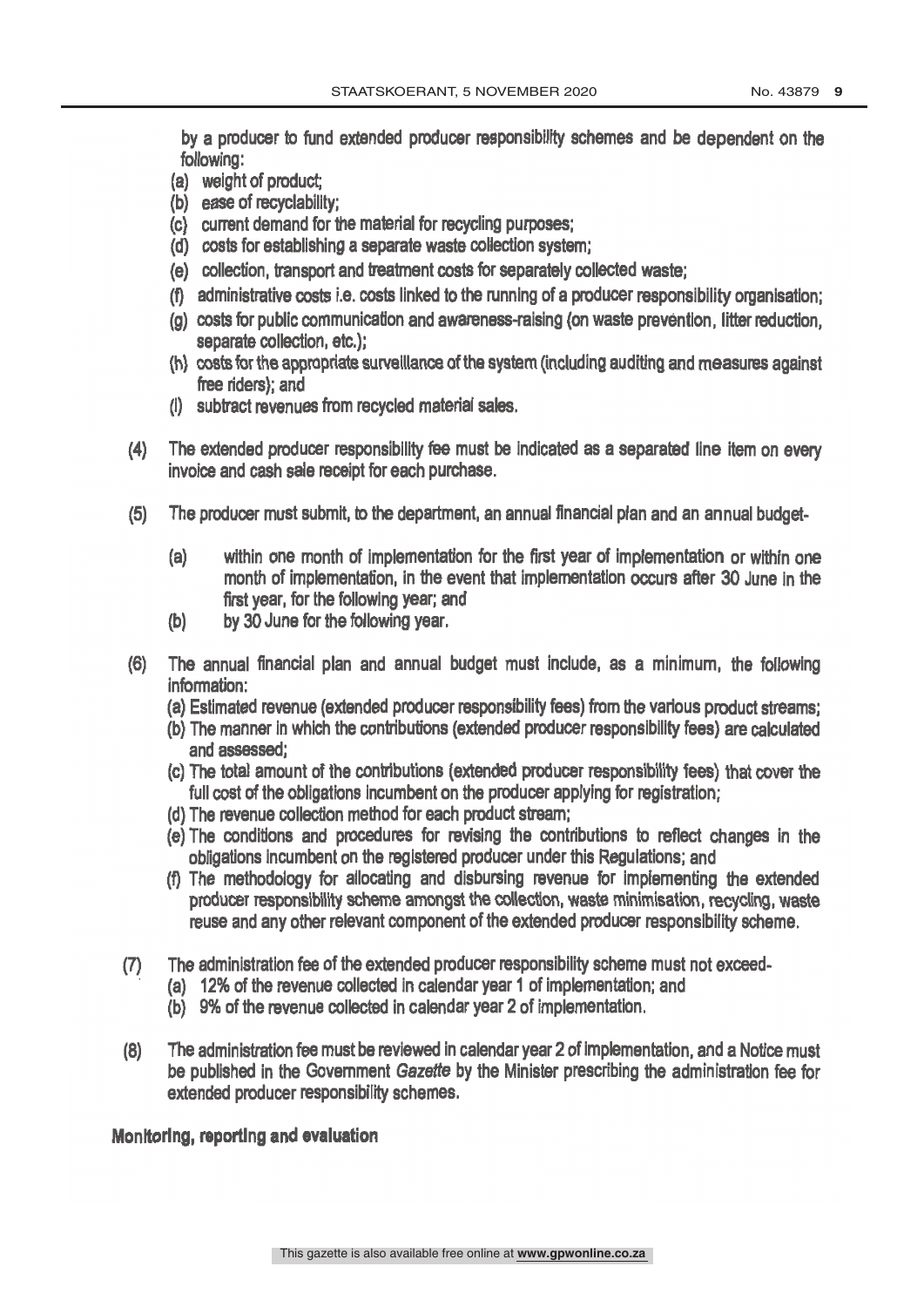by a producer to fund extended producer responsibility schemes and be dependent on the following:

- (a) weight of product;
- (b) ease of recyclability;
- (c) current demand for the material for recycling purposes;
- (d) costs for establishing a separate waste collection system;
- (e) collection, transport and treatment costs for separately collected waste;
- (f) administrative costs i.e. costs linked to the running of a producer responsibility organisation;
- (g) costs for public communication and awareness- raising (on waste prevention, litter reduction, separate collection, etc.);
- (h) costs for the appropriate surveillance of the system (including auditing and measures against free riders); and
- (i) subtract revenues from recycled material sales.
- (4) The extended producer responsibility fee must be indicated as a separated line item on every invoice and cash sale receipt for each purchase.
- (5) The producer must submit, to the department, an annual financial plan and an annual budget-
	- (a) within one month of implementation for the first year of implementation or within one month of implementation, in the event that implementation occurs after 30 June in the first year, for the following year; and
	- (b) by 30 June for the following year.
- (6) The annual financial plan and annual budget must include, as a minimum, the following information:
	- (a) Estimated revenue (extended producer responsibility fees) from the various product streams;
	- (b) The manner in which the contributions (extended producer responsibility fees) are calculated and assessed;
	- (c) The total amount of the contributions (extended producer responsibility fees) that cover the full cost of the obligations incumbent on the producer applying for registration;
	- (d) The revenue collection method for each product stream;
	- (e) The conditions and procedures for revising the contributions to reflect changes in the obligations incumbent on the registered producer under this Regulations; and
	- (f) The methodology for allocating and disbursing revenue for implementing the extended producer responsibility scheme amongst the collection, waste minimisation, recycling, waste reuse and any other relevant component of the extended producer responsibility scheme.
- (7) The administration fee of the extended producer responsibility scheme must not exceed -
	- (a) 12% of the revenue collected in calendar year 1 of implementation; and
	- (b) 9% of the revenue collected in calendar year 2 of implementation.
- (8) The administration fee must be reviewed in calendar year 2 of implementation, and a Notice must be published in the Government Gazette by the Minister prescribing the administration fee for extended producer responsibility schemes.

Monitoring, reporting and evaluation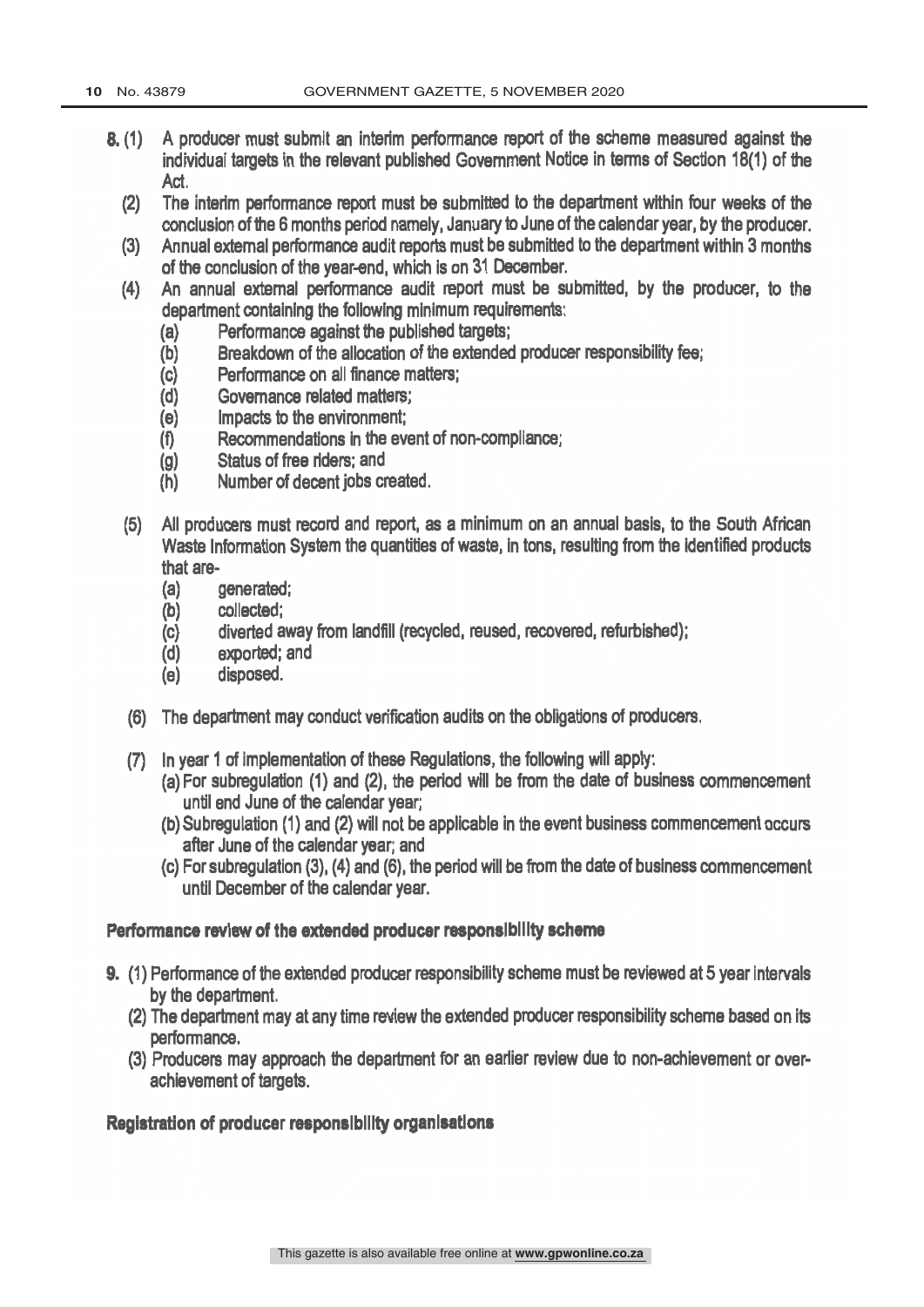- 8. (1) A producer must submit an interim performance report of the scheme measured against the individual targets in the relevant published Government Notice in terms of Section 18(1) of the Act.
	- (2) The interim performance report must be submitted to the department within four weeks of the conclusion of the 6 months period namely, January to June of the calendar year, by the producer.
	- (3) Annual external performance audit reports must be submitted to the department within 3 months of the conclusion of the year -end, which is on 31 December.
	- (4) An annual external performance audit report must be submitted, by the producer, to the department containing the following minimum requirements:
		- (a) Performance against the published targets;
		- (b) Breakdown of the allocation of the extended producer responsibility fee;
		- (c) Performance on all finance matters;
		- (d) Governance related matters;
		- (e) Impacts to the environment;
		- (f) Recommendations in the event of non -compliance;
		- (g) Status of free riders; and
		- (h) Number of decent jobs created.
	- (5) All producers must record and report, as a minimum on an annual basis, to the South African Waste Information System the quantities of waste, in tons, resulting from the identified products that are-
		- (a) generated;
		- (b) collected;
		- (c) diverted away from landfill (recycled, reused, recovered, refurbished);
		- (d) exported; and
		- (e) disposed.
	- (6) The department may conduct verification audits on the obligations of producers.
	- (7) In year 1 of implementation of these Regulations, the following will apply:
		- (a) For subregulation (1) and (2), the period will be from the date of business commencement until end June of the calendar year;
		- (b) Subregulation (1) and (2) will not be applicable in the event business commencement occurs after June of the calendar year; and
		- (c) For subregulation (3), (4) and (6), the period will be from the date of business commencement until December of the calendar year.

# Performance review of the extended producer responsibility scheme

- 9. (1) Performance of the extended producer responsibility scheme must be reviewed at 5 year intervals by the department.
	- (2) The department may at any time review the extended producer responsibility scheme based on its performance.
	- (3) Producers may approach the department for an earlier review due to non -achievement or overachievement of targets.

#### Registration of producer responsibility organisations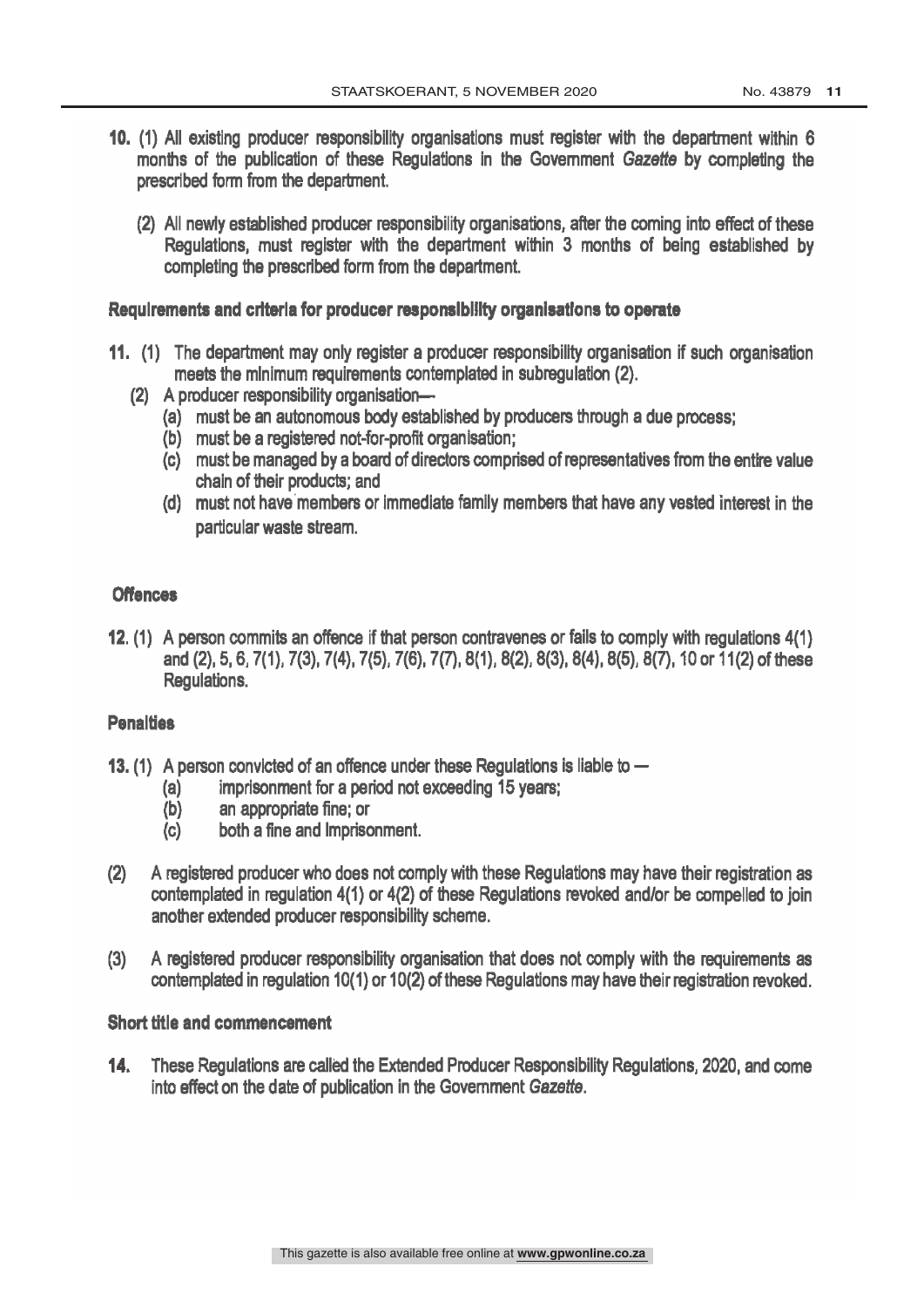- 10. (1) All existing producer responsibility organisations must register with the department within 6 months of the publication of these Regulations in the Government Gazette by completing the prescribed form from the department.
	- (2) All newly established producer responsibility organisations, after the coming into effect of these Regulations, must register with the department within 3 months of being established by completing the prescribed form from the department.

#### Requirements and criteria for producer responsibility organisations to operate

- 11. (1) The department may only register a producer responsibility organisation if such organisation meets the minimum requirements contemplated in subregulation (2).
	- (2) A producer responsibility organisation-
		- (a) must be an autonomous body established by producers through a due process;
		- (b) must be a registered not-for-profit organisation;
		- (c) must be managed by a board of directors comprised of representatives from the entire value chain of their products; and
		- (d) must not have members or immediate family members that have any vested interest in the particular waste stream.

#### **Offences**

12. (1) A person commits an offence if that person contravenes or fails to comply with regulations 4(1) and (2), 5, 6, 7(1), 7(3), 7(4), 7(5), 7(6), 7(7), 8(1), 8(2), 8(3), 8(4), 8(5), 8(7), 10 or 11(2) of these Regulations.

#### **Penalties**

- 13. (1) A person convicted of an offence under these Regulations is liable to  $-$ 
	- (a) imprisonment for a period not exceeding 15 years;
	- (b) an appropriate fine; or
	- (c) both a fine and imprisonment.
- (2) A registered producer who does not comply with these Regulations may have their registration as contemplated in regulation 4(1) or 4(2) of these Regulations revoked and/or be compelled to join another extended producer responsibility scheme.
- (3) A registered producer responsibility organisation that does not comply with the requirements as contemplated in regulation 10(1) or 10(2) of these Regulations may have their registration revoked.

#### Short title and commencement

 $14.$ These Regulations are called the Extended Producer Responsibility Regulations, 2020, and come into effect on the date of publication in the Government Gazette.